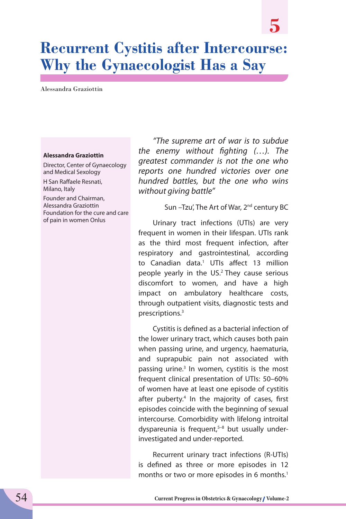# **Recurrent Cystitis after Intercourse: Why the Gynaecologist Has a Say**

Alessandra Graziottin

#### **Alessandra Graziottin**

Director, Center of Gynaecology and Medical Sexology

H San Raffaele Resnati, Milano, Italy

Founder and Chairman, Alessandra Graziottin Foundation for the cure and care of pain in women Onlus

*"The supreme art of war is to subdue the enemy without fighting (…). The greatest commander is not the one who reports one hundred victories over one hundred battles, but the one who wins without giving battle"*

Sun -Tzu', The Art of War, 2<sup>nd</sup> century BC

**5**

Urinary tract infections (UTIs) are very frequent in women in their lifespan. UTIs rank as the third most frequent infection, after respiratory and gastrointestinal, according to Canadian data.<sup>1</sup> UTIs affect 13 million people yearly in the US.2 They cause serious discomfort to women, and have a high impact on ambulatory healthcare costs, through outpatient visits, diagnostic tests and prescriptions.3

Cystitis is defined as a bacterial infection of the lower urinary tract, which causes both pain when passing urine, and urgency, haematuria, and suprapubic pain not associated with passing urine.<sup>3</sup> In women, cystitis is the most frequent clinical presentation of UTIs: 50–60% of women have at least one episode of cystitis after puberty.<sup>4</sup> In the majority of cases, first episodes coincide with the beginning of sexual intercourse. Comorbidity with lifelong introital dyspareunia is frequent, $5-8$  but usually underinvestigated and under-reported.

Recurrent urinary tract infections (R-UTIs) is defined as three or more episodes in 12 months or two or more episodes in 6 months.<sup>1</sup>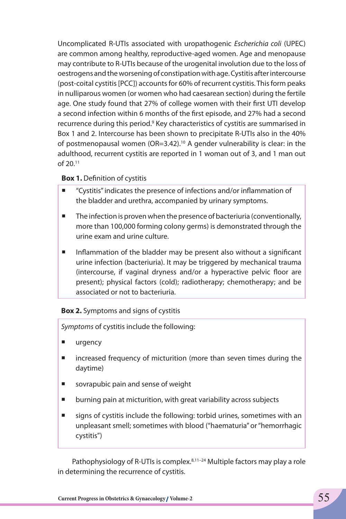Uncomplicated R-UTIs associated with uropathogenic *Escherichia coli* (UPEC) are common among healthy, reproductive-aged women. Age and menopause may contribute to R-UTIs because of the urogenital involution due to the loss of oestrogens and the worsening of constipation with age. Cystitis after intercourse (post-coital cystitis [PCC]) accounts for 60% of recurrent cystitis. This form peaks in nulliparous women (or women who had caesarean section) during the fertile age. One study found that 27% of college women with their first UTI develop a second infection within 6 months of the first episode, and 27% had a second recurrence during this period.<sup>9</sup> Key characteristics of cystitis are summarised in Box 1 and 2. Intercourse has been shown to precipitate R-UTIs also in the 40% of postmenopausal women ( $OR=3.42$ ).<sup>10</sup> A gender vulnerability is clear: in the adulthood, recurrent cystitis are reported in 1 woman out of 3, and 1 man out of 20.11

### **Box 1.** Definition of cystitis

- "Cystitis" indicates the presence of infections and/or inflammation of the bladder and urethra, accompanied by urinary symptoms.
- $\blacksquare$  The infection is proven when the presence of bacteriuria (conventionally, more than 100,000 forming colony germs) is demonstrated through the urine exam and urine culture.
- Inflammation of the bladder may be present also without a significant urine infection (bacteriuria). It may be triggered by mechanical trauma (intercourse, if vaginal dryness and/or a hyperactive pelvic floor are present); physical factors (cold); radiotherapy; chemotherapy; and be associated or not to bacteriuria.

### **Box 2.** Symptoms and signs of cystitis

*Symptoms* of cystitis include the following:

- **urgency**
- **net increased frequency of micturition (more than seven times during the** daytime)
- sovrapubic pain and sense of weight
- **Demonman and interpolativist in the state of the burning pain at microse** subjects
- signs of cystitis include the following: torbid urines, sometimes with an unpleasant smell; sometimes with blood ("haematuria" or "hemorrhagic cystitis")

Pathophysiology of R-UTIs is complex. 8,11-24 Multiple factors may play a role in determining the recurrence of cystitis.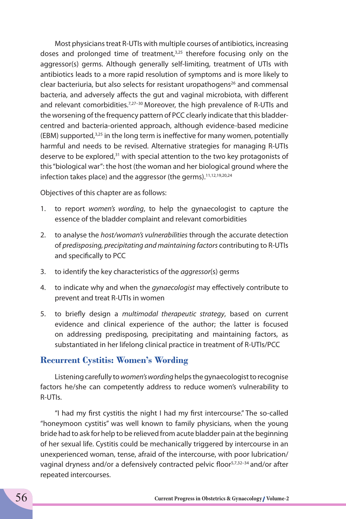Most physicians treat R-UTIs with multiple courses of antibiotics, increasing doses and prolonged time of treatment, $3,25$  therefore focusing only on the aggressor(s) germs. Although generally self-limiting, treatment of UTIs with antibiotics leads to a more rapid resolution of symptoms and is more likely to clear bacteriuria, but also selects for resistant uropathogens<sup>26</sup> and commensal bacteria, and adversely affects the gut and vaginal microbiota, with different and relevant comorbidities.<sup>7,27-30</sup> Moreover, the high prevalence of R-UTIs and the worsening of the frequency pattern of PCC clearly indicate that this bladdercentred and bacteria-oriented approach, although evidence-based medicine  $(EBM)$  supported,<sup>3,25</sup> in the long term is ineffective for many women, potentially harmful and needs to be revised. Alternative strategies for managing R-UTIs deserve to be explored, $31$  with special attention to the two key protagonists of this "biological war": the host (the woman and her biological ground where the infection takes place) and the aggressor (the germs).11,12,19,20,24

Objectives of this chapter are as follows:

- 1. to report *women's wording*, to help the gynaecologist to capture the essence of the bladder complaint and relevant comorbidities
- 2. to analyse the *host/woman's vulnerabilities* through the accurate detection of *predisposing, precipitating and maintaining factors* contributing to R-UTIs and specifically to PCC
- 3. to identify the key characteristics of the *aggressor*(s) germs
- 4. to indicate why and when the *gynaecologist* may effectively contribute to prevent and treat R-UTIs in women
- 5. to briefly design a *multimodal therapeutic strategy*, based on current evidence and clinical experience of the author; the latter is focused on addressing predisposing, precipitating and maintaining factors, as substantiated in her lifelong clinical practice in treatment of R-UTIs/PCC

## **Recurrent Cystitis: Women's Wording**

Listening carefully to *women's wording* helps the gynaecologist to recognise factors he/she can competently address to reduce women's vulnerability to R-UTIs.

"I had my first cystitis the night I had my first intercourse." The so-called "honeymoon cystitis" was well known to family physicians, when the young bride had to ask for help to be relieved from acute bladder pain at the beginning of her sexual life. Cystitis could be mechanically triggered by intercourse in an unexperienced woman, tense, afraid of the intercourse, with poor lubrication/ vaginal dryness and/or a defensively contracted pelvic floor<sup>5,7,32-34</sup> and/or after repeated intercourses.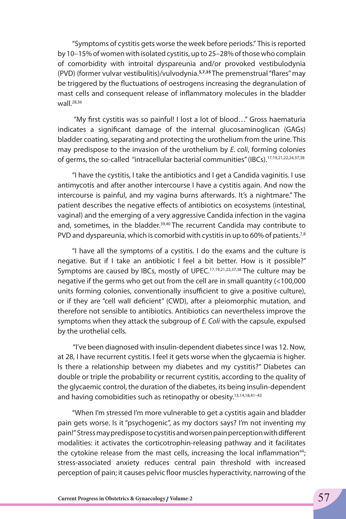"Symptoms of cystitis gets worse the week before periods." This is reported by 10–15% of women with isolated cystitis, up to 25–28% of those who complain of comorbidity with introital dyspareunia and/or provoked vestibulodynia (PVD) (former vulvar vestibulitis)/vulvodynia.**5,7,35** The premenstrual "flares" may be triggered by the fluctuations of oestrogens increasing the degranulation of mast cells and consequent release of inflammatory molecules in the bladder wall.<sup>28,36</sup>

 "My first cystitis was so painful! I lost a lot of blood…" Gross haematuria indicates a significant damage of the internal glucosaminoglican (GAGs) bladder coating, separating and protecting the urothelium from the urine. This may predispose to the invasion of the urothelium by *E. coli*, forming colonies of germs, the so-called "intracellular bacterial communities" (IBCs).<sup>17,19,21,22,24,37,38</sup>

"I have the cystitis, I take the antibiotics and I get a Candida vaginitis. I use antimycotis and after another intercourse I have a cystitis again. And now the intercourse is painful, and my vagina burns afterwards. It's a nightmare." The patient describes the negative effects of antibiotics on ecosystems (intestinal, vaginal) and the emerging of a very aggressive Candida infection in the vagina and, sometimes, in the bladder.<sup>39,40</sup> The recurrent Candida may contribute to PVD and dyspareunia, which is comorbid with cystitis in up to 60% of patients.<sup>7,8</sup>

"I have all the symptoms of a cystitis. I do the exams and the culture is negative. But if I take an antibiotic I feel a bit better. How is it possible?" Symptoms are caused by IBCs, mostly of UPEC.<sup>17,19,21,22,37,38</sup> The culture may be negative if the germs who get out from the cell are in small quantity (<100,000 units forming colonies, conventionally insufficient to give a positive culture), or if they are "cell wall deficient" (CWD), after a pleiomorphic mutation, and therefore not sensible to antibiotics. Antibiotics can nevertheless improve the symptoms when they attack the subgroup of *E. Coli* with the capsule, expulsed by the urothelial cells.

 "I've been diagnosed with insulin-dependent diabetes since I was 12. Now, at 28, I have recurrent cystitis. I feel it gets worse when the glycaemia is higher. Is there a relationship between my diabetes and my cystitis?" Diabetes can double or triple the probability or recurrent cystitis, according to the quality of the glycaemic control, the duration of the diabetes, its being insulin-dependent and having comobidities such as retinopathy or obesity.<sup>13,14,18,41-43</sup>

"When I'm stressed I'm more vulnerable to get a cystitis again and bladder pain gets worse. Is it "psychogenic", as my doctors says? I'm not inventing my pain!" Stress may predispose to cystitis and worsen pain perception with different modalities: it activates the corticotrophin-releasing pathway and it facilitates the cytokine release from the mast cells, increasing the local inflammation<sup>44</sup>; stress-associated anxiety reduces central pain threshold with increased perception of pain; it causes pelvic floor muscles hyperactivity, narrowing of the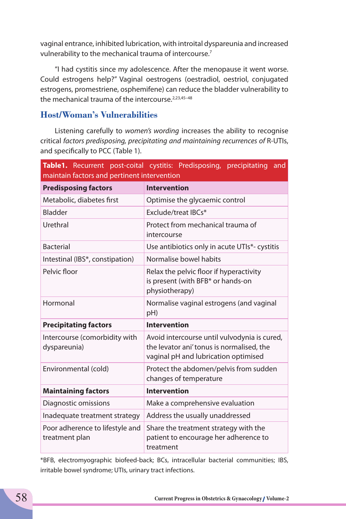vaginal entrance, inhibited lubrication, with introital dyspareunia and increased vulnerability to the mechanical trauma of intercourse.<sup>7</sup>

"I had cystitis since my adolescence. After the menopause it went worse. Could estrogens help?" Vaginal oestrogens (oestradiol, oestriol, conjugated estrogens, promestriene, osphemifene) can reduce the bladder vulnerability to the mechanical trauma of the intercourse.<sup>2,23,45-48</sup>

## **Host/Woman's Vulnerabilities**

Listening carefully to *women's wording* increases the ability to recognise critical *factors predisposing, precipitating and maintaining recurrences of* R-UTIs, and specifically to PCC (Table 1).

| maintain factors and pertinent intervention       | Table1. Recurrent post-coital cystitis: Predisposing, precipitating<br>and                                                        |
|---------------------------------------------------|-----------------------------------------------------------------------------------------------------------------------------------|
| <b>Predisposing factors</b>                       | <b>Intervention</b>                                                                                                               |
| Metabolic, diabetes first                         | Optimise the glycaemic control                                                                                                    |
| Bladder                                           | Exclude/treat IBCs*                                                                                                               |
| Urethral                                          | Protect from mechanical trauma of<br>intercourse                                                                                  |
| <b>Bacterial</b>                                  | Use antibiotics only in acute UTIs*- cystitis                                                                                     |
| Intestinal (IBS*, constipation)                   | Normalise bowel habits                                                                                                            |
| Pelvic floor                                      | Relax the pelvic floor if hyperactivity<br>is present (with BFB* or hands-on<br>physiotherapy)                                    |
| Hormonal                                          | Normalise vaginal estrogens (and vaginal<br>pH)                                                                                   |
| <b>Precipitating factors</b>                      | <b>Intervention</b>                                                                                                               |
| Intercourse (comorbidity with<br>dyspareunia)     | Avoid intercourse until vulvodynia is cured,<br>the levator ani' tonus is normalised, the<br>vaginal pH and lubrication optimised |
| Environmental (cold)                              | Protect the abdomen/pelvis from sudden<br>changes of temperature                                                                  |
| <b>Maintaining factors</b>                        | <b>Intervention</b>                                                                                                               |
| Diagnostic omissions                              | Make a comprehensive evaluation                                                                                                   |
| Inadequate treatment strategy                     | Address the usually unaddressed                                                                                                   |
| Poor adherence to lifestyle and<br>treatment plan | Share the treatment strategy with the<br>patient to encourage her adherence to<br>treatment                                       |

\*BFB, electromyographic biofeed-back; BCs, intracellular bacterial communities; IBS, irritable bowel syndrome; UTIs, urinary tract infections.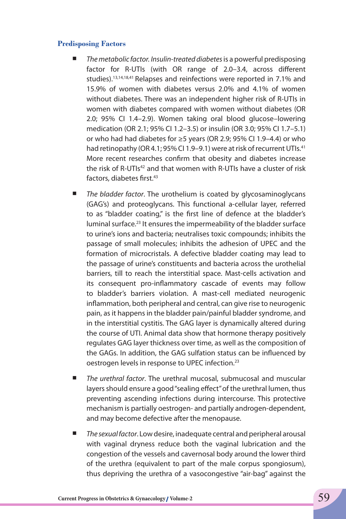#### **Predisposing Factors**

- *The metabolic factor. Insulin-treated diabetes* is a powerful predisposing factor for R-UTIs (with OR range of 2.0–3.4, across different studies).13,14,18,41 Relapses and reinfections were reported in 7.1% and 15.9% of women with diabetes versus 2.0% and 4.1% of women without diabetes. There was an independent higher risk of R-UTIs in women with diabetes compared with women without diabetes (OR 2.0; 95% CI 1.4–2.9). Women taking oral blood glucose–lowering medication (OR 2.1; 95% CI 1.2–3.5) or insulin (OR 3.0; 95% CI 1.7–5.1) or who had had diabetes for ≥5 years (OR 2.9; 95% CI 1.9–4.4) or who had retinopathy (OR 4.1; 95% CI 1.9–9.1) were at risk of recurrent UTIs.<sup>41</sup> More recent researches confirm that obesity and diabetes increase the risk of R-UTIs<sup>42</sup> and that women with R-UTIs have a cluster of risk factors, diabetes first.<sup>43</sup>
- *The bladder factor*. The urothelium is coated by glycosaminoglycans (GAG's) and proteoglycans. This functional a-cellular layer, referred to as "bladder coating," is the first line of defence at the bladder's luminal surface.<sup>23</sup> It ensures the impermeability of the bladder surface to urine's ions and bacteria; neutralises toxic compounds; inhibits the passage of small molecules; inhibits the adhesion of UPEC and the formation of microcristals. A defective bladder coating may lead to the passage of urine's constituents and bacteria across the urothelial barriers, till to reach the interstitial space. Mast-cells activation and its consequent pro-inflammatory cascade of events may follow to bladder's barriers violation. A mast-cell mediated neurogenic inflammation, both peripheral and central, can give rise to neurogenic pain, as it happens in the bladder pain/painful bladder syndrome, and in the interstitial cystitis. The GAG layer is dynamically altered during the course of UTI. Animal data show that hormone therapy positively regulates GAG layer thickness over time, as well as the composition of the GAGs. In addition, the GAG sulfation status can be influenced by oestrogen levels in response to UPEC infection.<sup>23</sup>
- *The urethral factor*. The urethral mucosal, submucosal and muscular layers should ensure a good "sealing effect" of the urethral lumen, thus preventing ascending infections during intercourse. This protective mechanism is partially oestrogen- and partially androgen-dependent, and may become defective after the menopause.
- *The sexual factor*. Low desire, inadequate central and peripheral arousal with vaginal dryness reduce both the vaginal lubrication and the congestion of the vessels and cavernosal body around the lower third of the urethra (equivalent to part of the male corpus spongiosum), thus depriving the urethra of a vasocongestive "air-bag" against the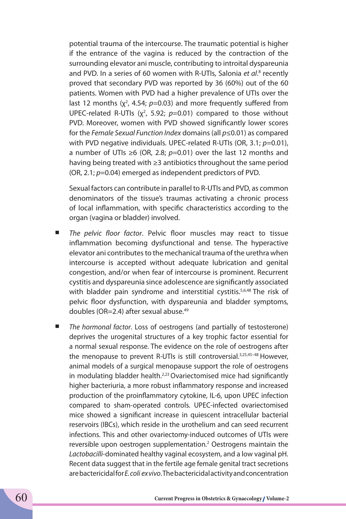potential trauma of the intercourse. The traumatic potential is higher if the entrance of the vagina is reduced by the contraction of the surrounding elevator ani muscle, contributing to introital dyspareunia and PVD. In a series of 60 women with R-UTIs, Salonia et al.<sup>8</sup> recently proved that secondary PVD was reported by 36 (60%) out of the 60 patients. Women with PVD had a higher prevalence of UTIs over the last 12 months  $(x^2, 4.54; p=0.03)$  and more frequently suffered from UPEC-related R-UTIs  $(x^2, 5.92; p=0.01)$  compared to those without PVD. Moreover, women with PVD showed significantly lower scores for the *Female Sexual Function Index* domains (all *p*≤0.01) as compared with PVD negative individuals. UPEC-related R-UTIs (OR, 3.1; *p*=0.01), a number of UTIs ≥6 (OR, 2.8; *p*=0.01) over the last 12 months and having being treated with ≥3 antibiotics throughout the same period (OR, 2.1; *p*=0.04) emerged as independent predictors of PVD.

Sexual factors can contribute in parallel to R-UTIs and PVD, as common denominators of the tissue's traumas activating a chronic process of local inflammation, with specific characteristics according to the organ (vagina or bladder) involved.

- *The pelvic floor factor*. Pelvic floor muscles may react to tissue inflammation becoming dysfunctional and tense. The hyperactive elevator ani contributes to the mechanical trauma of the urethra when intercourse is accepted without adequate lubrication and genital congestion, and/or when fear of intercourse is prominent. Recurrent cystitis and dyspareunia since adolescence are significantly associated with bladder pain syndrome and interstitial cystitis.<sup>5,6,48</sup> The risk of pelvic floor dysfunction, with dyspareunia and bladder symptoms, doubles (OR=2.4) after sexual abuse.49
- *The hormonal factor*. Loss of oestrogens (and partially of testosterone) deprives the urogenital structures of a key trophic factor essential for a normal sexual response. The evidence on the role of oestrogens after the menopause to prevent R-UTIs is still controversial.<sup>3,25,45-48</sup> However, animal models of a surgical menopause support the role of oestrogens in modulating bladder health. $223$  Ovariectomised mice had significantly higher bacteriuria, a more robust inflammatory response and increased production of the proinflammatory cytokine, IL-6, upon UPEC infection compared to sham-operated controls. UPEC-infected ovariectomised mice showed a significant increase in quiescent intracellular bacterial reservoirs (IBCs), which reside in the urothelium and can seed recurrent infections. This and other ovariectomy-induced outcomes of UTIs were reversible upon oestrogen supplementation.<sup>2</sup> Oestrogens maintain the *Lactobacilli*-dominated healthy vaginal ecosystem, and a low vaginal pH. Recent data suggest that in the fertile age female genital tract secretions are bactericidal for *E. coli ex vivo*. The bactericidal activity and concentration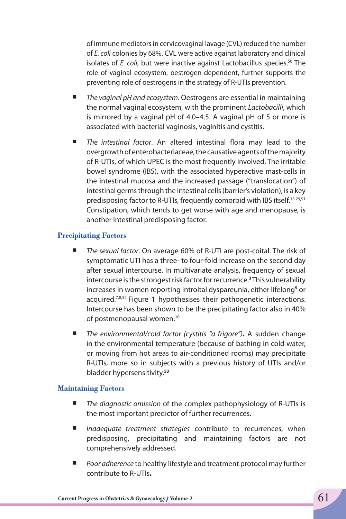of immune mediators in cervicovaginal lavage (CVL) reduced the number of *E. coli* colonies by 68%. CVL were active against laboratory and clinical isolates of *E. coli*, but were inactive against Lactobacillus species.<sup>50</sup> The role of vaginal ecosystem, oestrogen-dependent, further supports the preventing role of oestrogens in the strategy of R-UTIs prevention.

- *The vaginal pH and ecosystem*. Oestrogens are essential in maintaining the normal vaginal ecosystem, with the prominent *Lactobacilli*, which is mirrored by a vaginal pH of 4.0–4.5. A vaginal pH of 5 or more is associated with bacterial vaginosis, vaginitis and cystitis.
- *The intestinal factor*. An altered intestinal flora may lead to the overgrowth of enterobacteriaceae, the causative agents of the majority of R-UTIs, of which UPEC is the most frequently involved. The irritable bowel syndrome (IBS), with the associated hyperactive mast-cells in the intestinal mucosa and the increased passage ("translocation") of intestinal germs through the intestinal cells (barrier's violation), is a key predisposing factor to R-UTIs, frequently comorbid with IBS itself.15,29,51 Constipation, which tends to get worse with age and menopause, is another intestinal predisposing factor.

#### **Precipitating Factors**

- *The sexual factor*. On average 60% of R-UTI are post-coital. The risk of symptomatic UTI has a three- to four-fold increase on the second day after sexual intercourse. In multivariate analysis, frequency of sexual intercourse is the strongest risk factor for recurrence.**<sup>3</sup>** This vulnerability increases in women reporting introital dyspareunia, either lifelong**<sup>5</sup>** or acquired.<sup>7,8,52</sup> Figure 1 hypothesises their pathogenetic interactions. Intercourse has been shown to be the precipitating factor also in 40% of postmenopausal women.<sup>10</sup>
- *The environmental/cold factor (cystitis "a frigore")***.** A sudden change in the environmental temperature (because of bathing in cold water, or moving from hot areas to air-conditioned rooms) may precipitate R-UTIs, more so in subjects with a previous history of UTIs and/or bladder hypersensitivity.**<sup>53</sup>**

#### **Maintaining Factors**

- *The diagnostic omission* of the complex pathophysiology of R-UTIs is the most important predictor of further recurrences.
- *Inadequate treatment strategies* contribute to recurrences, when predisposing, precipitating and maintaining factors are not comprehensively addressed.
- *Poor adherence* to healthy lifestyle and treatment protocol may further contribute to R-UTIs**.**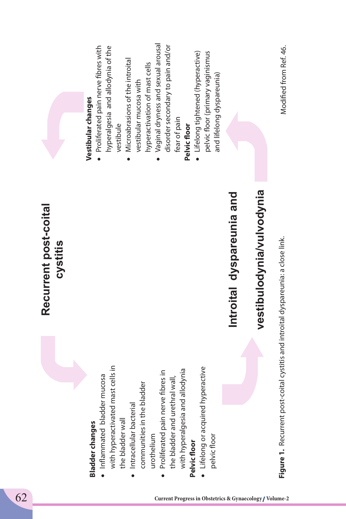|                                                 | Recurrent post-coital<br>cystitis                        |                                                                        |
|-------------------------------------------------|----------------------------------------------------------|------------------------------------------------------------------------|
|                                                 |                                                          | Vestibular changes                                                     |
| Inflammated bladder<br><b>Bladder changes</b>   | mucosa                                                   | Proliferated pain nerve fibres with                                    |
| with hyperactivated mast cells in               |                                                          | hyperalgesia and allodynia of the<br>vestibule                         |
| Intracellular bacterial<br>the bladder wall     |                                                          | Microabrasions of the introital                                        |
| communities in the bladder                      |                                                          | hyperactivation of mast cells<br>vestibular mucosa with                |
| urothelium                                      |                                                          | Vaginal dryness and sexual arousal                                     |
| Proliferated pain nerve fibres in               |                                                          | disorder secondary to pain and/or                                      |
| the bladder and urethr<br>with hyperalgesia and | allodynia<br>ıral wall,                                  | fear of pain                                                           |
| Pelvic floor                                    |                                                          | Pelvic floor                                                           |
| Lifelong or acquired hyperactive                |                                                          | • Lifelong tightened (hyperactive)<br>pelvic floor (primary vaginismus |
| pelvic floor                                    |                                                          | and lifelong dyspareunia)                                              |
|                                                 | Introital dyspareunia and                                |                                                                        |
|                                                 | vestibulodynia/vulvodynia                                |                                                                        |
| Figure 1. Recurrent post-                       | coital cystitis and introital dyspareunia: a close link. | Modified from Ref. 46.                                                 |
|                                                 |                                                          |                                                                        |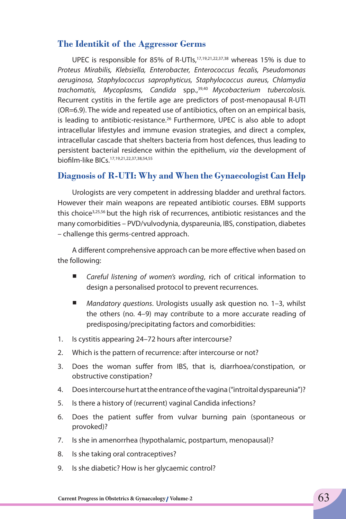## **The Identikit of the Aggressor Germs**

UPEC is responsible for 85% of R-UTIs,17,19,21,22,37,38 whereas 15% is due to *Proteus Mirabilis, Klebsiella, Enterobacter, Enterococcus fecalis, Pseudomonas aeruginosa, Staphylococcus saprophyticus, Staphylococcus aureus, Chlamydia trachomatis, Mycoplasms, Candida* spp.,39,40 *Mycobacterium tubercolosis.* Recurrent cystitis in the fertile age are predictors of post-menopausal R-UTI (OR=6.9). The wide and repeated use of antibiotics, often on an empirical basis, is leading to antibiotic-resistance.<sup>26</sup> Furthermore, UPEC is also able to adopt intracellular lifestyles and immune evasion strategies, and direct a complex, intracellular cascade that shelters bacteria from host defences, thus leading to persistent bacterial residence within the epithelium, *via* the development of biofilm-like BICs.17,19,21,22,37,38,54,55

## **Diagnosis of R-UTI: Why and When the Gynaecologist Can Help**

Urologists are very competent in addressing bladder and urethral factors. However their main weapons are repeated antibiotic courses. EBM supports this choice<sup>3,25,56</sup> but the high risk of recurrences, antibiotic resistances and the many comorbidities – PVD/vulvodynia, dyspareunia, IBS, constipation, diabetes – challenge this germs-centred approach.

A different comprehensive approach can be more effective when based on the following:

- *Careful listening of women's wording*, rich of critical information to design a personalised protocol to prevent recurrences.
- *Mandatory questions*. Urologists usually ask question no. 1–3, whilst the others (no. 4–9) may contribute to a more accurate reading of predisposing/precipitating factors and comorbidities:
- 1. Is cystitis appearing 24–72 hours after intercourse?
- 2. Which is the pattern of recurrence: after intercourse or not?
- 3. Does the woman suffer from IBS, that is, diarrhoea/constipation, or obstructive constipation?
- 4. Does intercourse hurt at the entrance of the vagina ("introital dyspareunia")?
- 5. Is there a history of (recurrent) vaginal Candida infections?
- 6. Does the patient suffer from vulvar burning pain (spontaneous or provoked)?
- 7. Is she in amenorrhea (hypothalamic, postpartum, menopausal)?
- 8. Is she taking oral contraceptives?
- 9. Is she diabetic? How is her glycaemic control?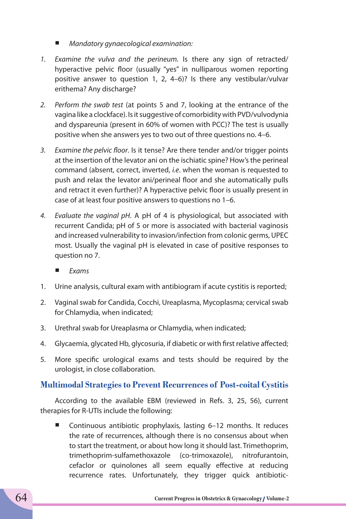- *Mandatory gynaecological examination:*
- *1. Examine the vulva and the perineum.* Is there any sign of retracted/ hyperactive pelvic floor (usually "yes" in nulliparous women reporting positive answer to question 1, 2, 4–6)? Is there any vestibular/vulvar erithema? Any discharge?
- *2. Perform the swab test* (at points 5 and 7, looking at the entrance of the vagina like a clockface). Is it suggestive of comorbidity with PVD/vulvodynia and dyspareunia (present in 60% of women with PCC)? The test is usually positive when she answers yes to two out of three questions no. 4–6.
- *3. Examine the pelvic floor*. Is it tense? Are there tender and/or trigger points at the insertion of the levator ani on the ischiatic spine? How's the perineal command (absent, correct, inverted, *i.e*. when the woman is requested to push and relax the levator ani/perineal floor and she automatically pulls and retract it even further)? A hyperactive pelvic floor is usually present in case of at least four positive answers to questions no 1–6.
- *4. Evaluate the vaginal pH*. A pH of 4 is physiological, but associated with recurrent Candida; pH of 5 or more is associated with bacterial vaginosis and increased vulnerability to invasion/infection from colonic germs, UPEC most. Usually the vaginal pH is elevated in case of positive responses to question no 7.
	- *Exams*
- 1. Urine analysis, cultural exam with antibiogram if acute cystitis is reported;
- 2. Vaginal swab for Candida, Cocchi, Ureaplasma, Mycoplasma; cervical swab for Chlamydia, when indicated;
- 3. Urethral swab for Ureaplasma or Chlamydia, when indicated;
- 4. Glycaemia, glycated Hb, glycosuria, if diabetic or with first relative affected;
- 5. More specific urological exams and tests should be required by the urologist, in close collaboration.

## **Multimodal Strategies to Prevent Recurrences of Post-coital Cystitis**

According to the available EBM (reviewed in Refs. 3, 25, 56), current therapies for R-UTIs include the following:

 Continuous antibiotic prophylaxis, lasting 6–12 months. It reduces the rate of recurrences, although there is no consensus about when to start the treatment, or about how long it should last. Trimethoprim, trimethoprim-sulfamethoxazole (co-trimoxazole), nitrofurantoin, cefaclor or quinolones all seem equally effective at reducing recurrence rates. Unfortunately, they trigger quick antibiotic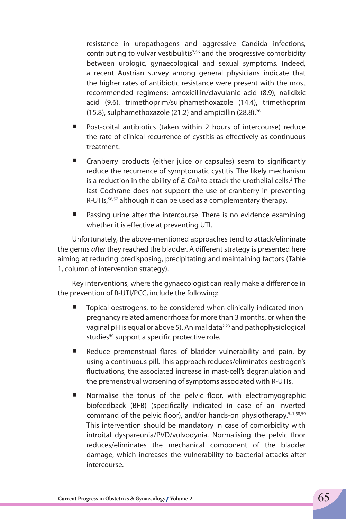resistance in uropathogens and aggressive Candida infections, contributing to vulvar vestibulitis<sup>7,56</sup> and the progressive comorbidity between urologic, gynaecological and sexual symptoms. Indeed, a recent Austrian survey among general physicians indicate that the higher rates of antibiotic resistance were present with the most recommended regimens: amoxicillin/clavulanic acid (8.9), nalidixic acid (9.6), trimethoprim/sulphamethoxazole (14.4), trimethoprim (15.8), sulphamethoxazole (21.2) and ampicillin (28.8).26

- Post-coital antibiotics (taken within 2 hours of intercourse) reduce the rate of clinical recurrence of cystitis as effectively as continuous treatment.
- Cranberry products (either juice or capsules) seem to significantly reduce the recurrence of symptomatic cystitis. The likely mechanism is a reduction in the ability of *E. Coli* to attack the urothelial cells.<sup>3</sup> The last Cochrane does not support the use of cranberry in preventing R-UTIs,<sup>56,57</sup> although it can be used as a complementary therapy.
- Passing urine after the intercourse. There is no evidence examining whether it is effective at preventing UTI.

Unfortunately, the above-mentioned approaches tend to attack/eliminate the germs *after* they reached the bladder. A different strategy is presented here aiming at reducing predisposing, precipitating and maintaining factors (Table 1, column of intervention strategy).

Key interventions, where the gynaecologist can really make a difference in the prevention of R-UTI/PCC, include the following:

- Topical oestrogens, to be considered when clinically indicated (nonpregnancy related amenorrhoea for more than 3 months, or when the vaginal pH is equal or above 5). Animal data<sup>2,23</sup> and pathophysiological studies<sup>50</sup> support a specific protective role.
- Reduce premenstrual flares of bladder vulnerability and pain, by using a continuous pill. This approach reduces/eliminates oestrogen's fluctuations, the associated increase in mast-cell's degranulation and the premenstrual worsening of symptoms associated with R-UTIs.
- Normalise the tonus of the pelvic floor, with electromyographic biofeedback (BFB) (specifically indicated in case of an inverted command of the pelvic floor), and/or hands-on physiotherapy.<sup>5-7,58,59</sup> This intervention should be mandatory in case of comorbidity with introital dyspareunia/PVD/vulvodynia. Normalising the pelvic floor reduces/eliminates the mechanical component of the bladder damage, which increases the vulnerability to bacterial attacks after intercourse.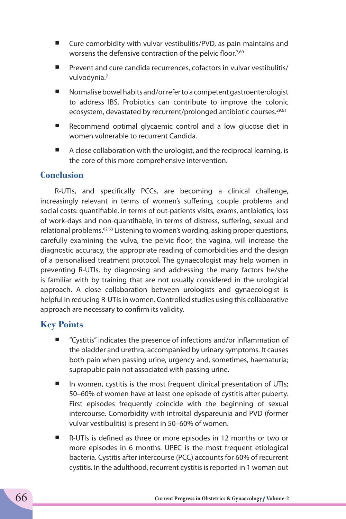- Cure comorbidity with vulvar vestibulitis/PVD, as pain maintains and worsens the defensive contraction of the pelvic floor.<sup>7,60</sup>
- Prevent and cure candida recurrences, cofactors in vulvar vestibulitis/ vulvodynia.7
- Normalise bowel habits and/or refer to a competent gastroenterologist to address IBS. Probiotics can contribute to improve the colonic ecosystem, devastated by recurrent/prolonged antibiotic courses.<sup>29,61</sup>
- Recommend optimal glycaemic control and a low glucose diet in women vulnerable to recurrent Candida.
- A close collaboration with the urologist, and the reciprocal learning, is the core of this more comprehensive intervention.

## **Conclusion**

R-UTIs, and specifically PCCs, are becoming a clinical challenge, increasingly relevant in terms of women's suffering, couple problems and social costs: quantifiable, in terms of out-patients visits, exams, antibiotics, loss of work-days and non-quantifiable, in terms of distress, suffering, sexual and relational problems.<sup>62,63</sup> Listening to women's wording, asking proper questions, carefully examining the vulva, the pelvic floor, the vagina, will increase the diagnostic accuracy, the appropriate reading of comorbidities and the design of a personalised treatment protocol. The gynaecologist may help women in preventing R-UTIs, by diagnosing and addressing the many factors he/she is familiar with by training that are not usually considered in the urological approach. A close collaboration between urologists and gynaecologist is helpful in reducing R-UTIs in women. Controlled studies using this collaborative approach are necessary to confirm its validity.

## **Key Points**

- "Cystitis" indicates the presence of infections and/or inflammation of the bladder and urethra, accompanied by urinary symptoms. It causes both pain when passing urine, urgency and, sometimes, haematuria; suprapubic pain not associated with passing urine.
- $\blacksquare$  In women, cystitis is the most frequent clinical presentation of UTIs; 50–60% of women have at least one episode of cystitis after puberty. First episodes frequently coincide with the beginning of sexual intercourse. Comorbidity with introital dyspareunia and PVD (former vulvar vestibulitis) is present in 50–60% of women.
- R-UTIs is defined as three or more episodes in 12 months or two or more episodes in 6 months. UPEC is the most frequent etiological bacteria. Cystitis after intercourse (PCC) accounts for 60% of recurrent cystitis. In the adulthood, recurrent cystitis is reported in 1 woman out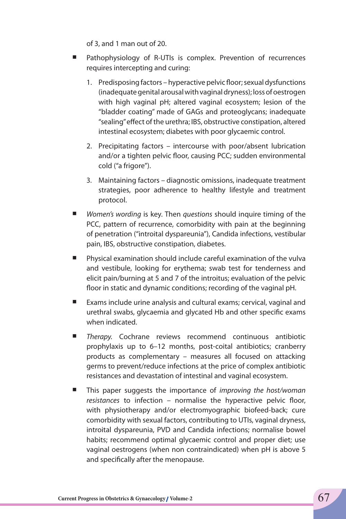of 3, and 1 man out of 20.

- Pathophysiology of R-UTIs is complex. Prevention of recurrences requires intercepting and curing:
	- 1. Predisposing factors hyperactive pelvic floor; sexual dysfunctions (inadequate genital arousal with vaginal dryness); loss of oestrogen with high vaginal pH; altered vaginal ecosystem; lesion of the "bladder coating" made of GAGs and proteoglycans; inadequate "sealing" effect of the urethra; IBS, obstructive constipation, altered intestinal ecosystem; diabetes with poor glycaemic control.
	- 2. Precipitating factors intercourse with poor/absent lubrication and/or a tighten pelvic floor, causing PCC; sudden environmental cold ("a frigore").
	- 3. Maintaining factors diagnostic omissions, inadequate treatment strategies, poor adherence to healthy lifestyle and treatment protocol.
- *Women's wording* is key. Then *questions* should inquire timing of the PCC, pattern of recurrence, comorbidity with pain at the beginning of penetration ("introital dyspareunia"), Candida infections, vestibular pain, IBS, obstructive constipation, diabetes.
- Physical examination should include careful examination of the vulva and vestibule, looking for erythema; swab test for tenderness and elicit pain/burning at 5 and 7 of the introitus; evaluation of the pelvic floor in static and dynamic conditions; recording of the vaginal pH.
- Exams include urine analysis and cultural exams; cervical, vaginal and urethral swabs, glycaemia and glycated Hb and other specific exams when indicated.
- *Therapy.* Cochrane reviews recommend continuous antibiotic prophylaxis up to 6–12 months, post-coital antibiotics; cranberry products as complementary – measures all focused on attacking germs to prevent/reduce infections at the price of complex antibiotic resistances and devastation of intestinal and vaginal ecosystem.
- This paper suggests the importance of *improving the host/woman resistances* to infection – normalise the hyperactive pelvic floor, with physiotherapy and/or electromyographic biofeed-back; cure comorbidity with sexual factors, contributing to UTIs, vaginal dryness, introital dyspareunia, PVD and Candida infections; normalise bowel habits; recommend optimal glycaemic control and proper diet; use vaginal oestrogens (when non contraindicated) when pH is above 5 and specifically after the menopause.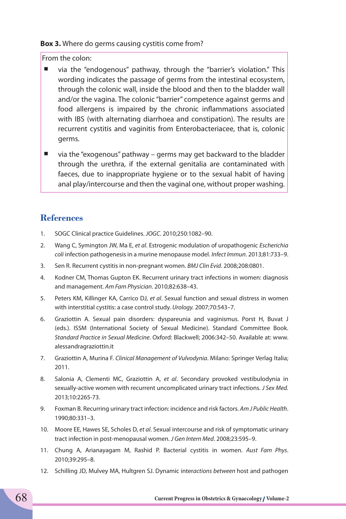#### **Box 3.** Where do germs causing cystitis come from?

From the colon:

- via the "endogenous" pathway, through the "barrier's violation." This wording indicates the passage of germs from the intestinal ecosystem, through the colonic wall, inside the blood and then to the bladder wall and/or the vagina. The colonic "barrier" competence against germs and food allergens is impaired by the chronic inflammations associated with IBS (with alternating diarrhoea and constipation). The results are recurrent cystitis and vaginitis from Enterobacteriacee, that is, colonic germs.
- via the "exogenous" pathway germs may get backward to the bladder through the urethra, if the external genitalia are contaminated with faeces, due to inappropriate hygiene or to the sexual habit of having anal play/intercourse and then the vaginal one, without proper washing.

## **References**

- 1. SOGC Clinical practice Guidelines. *JOGC*. 2010;250:1082–90.
- 2. Wang C, Symington JW, Ma E, *et al*. Estrogenic modulation of uropathogenic *Escherichia coli* infection pathogenesis in a murine menopause model. *Infect Immun*. 2013;81:733–9.
- 3. Sen R. Recurrent cystitis in non-pregnant women. *BMJ Clin Evid*. 2008;208:0801.
- 4. Kodner CM, Thomas Gupton EK. Recurrent urinary tract infections in women: diagnosis and management. *Am Fam Physician*. 2010;82:638–43.
- 5. Peters KM, Killinger KA, Carrico DJ, *et al*. Sexual function and sexual distress in women with interstitial cystitis: a case control study. *Urology.* 2007;70:543–7.
- 6. Graziottin A. Sexual pain disorders: dyspareunia and vaginismus. Porst H, Buvat J (eds.). ISSM (International Society of Sexual Medicine). Standard Committee Book. *Standard Practice in Sexual Medicine*. Oxford: Blackwell; 2006:342–50. Available at: www. alessandragraziottin.it
- 7. Graziottin A, Murina F. *Clinical Management of Vulvodynia*. Milano: Springer Verlag Italia; 2011.
- 8. Salonia A, Clementi MC, Graziottin A, *et al*. Secondary provoked vestibulodynia in sexually-active women with recurrent uncomplicated urinary tract infections. *J Sex Med.*  2013;10:2265-73.
- 9. Foxman B. Recurring urinary tract infection: incidence and risk factors. *Am J Public Health*. 1990;80:331–3.
- 10. Moore EE, Hawes SE, Scholes D, *et al*. Sexual intercourse and risk of symptomatic urinary tract infection in post-menopausal women. *J Gen Intern Med*. 2008;23:595–9.
- 11. Chung A, Arianayagam M, Rashid P. Bacterial cystitis in women. *Aust Fam Phys*. 2010;39:295–8.
- 12. Schilling JD, Mulvey MA, Hultgren SJ. Dynamic inter*actions between* host and pathogen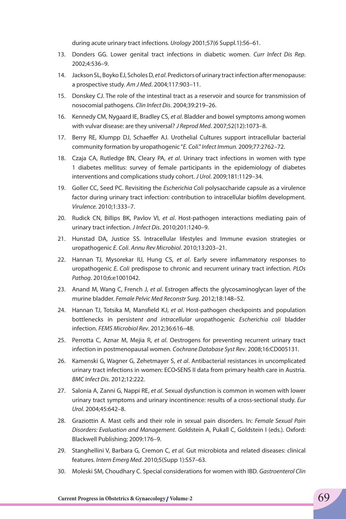during acute urinary tract infections. *Urology* 2001;57(6 Suppl.1):56–61.

- 13. Donders GG. Lower genital tract infections in diabetic women. *Curr Infect Dis Rep*. 2002;4:536–9.
- 14. Jackson SL, Boyko EJ, Scholes D, *et al*. Predictors of urinary tract infection after menopause: a prospective study. *Am J Med*. 2004;117:903–11.
- 15. Donskey CJ. The role of the intestinal tract as a reservoir and source for transmission of nosocomial pathogens. *Clin Infect Dis*. 2004;39:219–26.
- 16. Kennedy CM, Nygaard IE, Bradley CS, *et al*. Bladder and bowel symptoms among women with vulvar disease: are they universal? *J Reprod Med*. 2007;52(12):1073–8.
- 17. Berry RE, Klumpp DJ, Schaeffer AJ. Urothelial Cultures support intracellular bacterial community formation by uropathogenic "*E. Coli*." *Infect Immun.* 2009;77:2762–72.
- 18. Czaja CA, Rutledge BN, Cleary PA, *et al*. Urinary tract infections in women with type 1 diabetes mellitus: survey of female participants in the epidemiology of diabetes interventions and complications study cohort. *J Urol*. 2009;181:1129–34.
- 19. Goller CC, Seed PC. Revisiting the *Escherichia Coli* polysaccharide capsule as a virulence factor during urinary tract infection: contribution to intracellular biofilm development. *Virulence.* 2010;1:333–7.
- 20. Rudick CN, Billips BK, Pavlov VI, *et al*. Host-pathogen interactions mediating pain of urinary tract infection. *J Infect Dis*. 2010;201:1240–9.
- 21. Hunstad DA, Justice SS. Intracellular lifestyles and Immune evasion strategies or uropathogenic *E. Coli*. *Annu Rev Microbiol*. 2010;13:203–21.
- 22. Hannan TJ, Mysorekar IU, Hung CS, *et al*. Early severe inflammatory responses to uropathogenic *E. Coli* predispose to chronic and recurrent urinary tract infection. *PLOs Pathog*. 2010;6:e1001042.
- 23. Anand M, Wang C, French J, *et al*. Estrogen affects the glycosaminoglycan layer of the murine bladder. *Female Pelvic Med Reconstr Surg*. 2012;18:148–52.
- 24. Hannan TJ, Totsika M, Mansfield KJ, *et al*. Host-pathogen checkpoints and population bottlenecks in persisten*t and intracellular* uropathogenic *Escherichia coli* bladder infection. *FEMS Microbiol Rev*. 2012;36:616–48.
- 25. Perrotta C, Aznar M, Mejia R, *et al*. Oestrogens for preventing recurrent urinary tract infection in postmenopausal women. *Cochrane Database Syst Rev*. 2008;16:CD005131.
- 26. Kamenski G, Wagner G, Zehetmayer S, *et al*. Antibacterial resistances in uncomplicated urinary tract infections in women: ECO•SENS II data from primary health care in Austria. *BMC Infect Dis*. 2012;12:222.
- 27. Salonia A, Zanni G, Nappi RE, *et al*. Sexual dysfunction is common in women with lower urinary tract symptoms and urinary incontinence: results of a cross-sectional study. *Eur Urol*. 2004;45:642–8.
- 28. Graziottin A. Mast cells and their role in sexual pain disorders. In: *Female Sexual Pain Disorders: Evaluation and Management*. Goldstein A, Pukall C, Goldstein I (eds.). Oxford: Blackwell Publishing; 2009:176–9.
- 29. Stanghellini V, Barbara G, Cremon C, *et al.* Gut microbiota and related diseases: clinical features. *Intern Emerg Med*. 2010;5(Supp 1):S57–63.
- 30. Moleski SM, Choudhary C. Special considerations for women with IBD. *Gastroenterol Clin*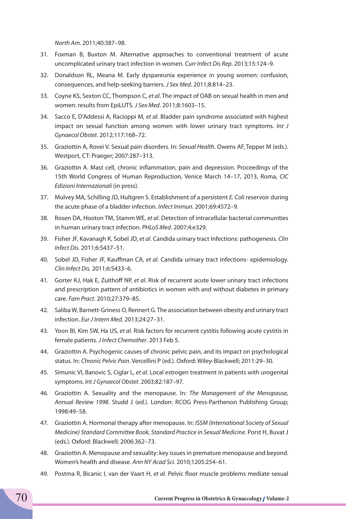*North Am*. 2011;40:387–98.

- 31. Foxman B, Buxton M. Alternative approaches to conventional treatment of acute uncomplicated urinary tract infection in women. *Curr Infect Dis Rep*. 2013;15:124–9.
- 32. Donaldson RL, Meana M. Early dyspareunia experience in young women: confusion, consequences, and help-seeking barriers. *J Sex Med*. 2011;8:814–23.
- 33. Coyne KS, Sexton CC, Thompson C, *et al*. The impact of OAB on sexual health in men and women: results from EpiLUTS. *J Sex Med*. 2011;8:1603–15.
- 34. Sacco E, D'Addessi A, Racioppi M, *et al*. Bladder pain syndrome associated with highest impact on sexual function among women with lower urinary tract symptoms. *Int J Gynaecol Obstet*. 2012;117:168–72.
- 35. Graziottin A, Rovei V. Sexual pain disorders. In: *Sexual Health*. Owens AF, Tepper M (eds.). Westport, CT: Praeger; 2007:287–313.
- 36. Graziottin A. Mast cell, chronic inflammation, pain and depression. Proceedings of the 15th World Congress of Human Reproduction, Venice March 14–17, 2013, Roma, *CIC Edizioni Internazionali* (in press).
- 37. Mulvey MA, Schilling JD, Hultgren S. Establishment of a persistent *E. Coli* reservoir during the acute phase of a bladder infection. *Infect Immun.* 2001;69:4572–9.
- 38. Rosen DA, Hooton TM, Stamm WE, *et al*. Detection of intracellular bacterial communities in human urinary tract infection. *PHLoS Med*. 2007;4:e329.
- 39. Fisher JF, Kavanagh K, Sobel JD, *et al*. Candida urinary tract Infections: pathogenesis. *Clin Infect Dis.* 2011;6:S437–51.
- 40. Sobel JD, Fisher JF, Kauffman CA, *et al*. Candida urinary tract infections- epidemiology. *Clin Infect Dis.* 2011;6:S433–6.
- 41. Gorter KJ, Hak E, Zuithoff NP, *et al*. Risk of recurrent acute lower urinary tract infections and prescription pattern of antibiotics in women with and without diabetes in primary care. *Fam Pract*. 2010;27:379–85.
- 42. Saliba W, Barnett-Griness O, Rennert G. The association between obesity and urinary tract infection. *Eur J Intern Med*. 2013;24:27–31.
- 43. Yoon BI, Kim SW, Ha US, *et al*. Risk factors for recurrent cystitis following acute cystitis in female patients. *J Infect Chemother*. 2013 Feb 5.
- 44. Graziottin A. Psychogenic causes of chronic pelvic pain, and its impact on psychological status. In: *Chronic Pelvic Pain*. Vercellini P (ed.). Oxford: Wiley-Blackwell; 2011:29–30.
- 45. Simunic VI, Banovic S, Ciglar L, *et al*. Local estrogen treatment in patients with urogenital symptoms. *Int J Gynaecol Obstet*. 2003;82:187–97.
- 46. Graziottin A. Sexuality and the menopause. In: *The Management of the Menopause, Annual Review 1998*. Studd J (ed.). London: RCOG Press-Parthenon Publishing Group; 1998:49–58.
- 47. Graziottin A. Hormonal therapy after menopause. In: *ISSM (International Society of Sexual Medicine) Standard Committee Book, Standard Practice in Sexual Medicine*. Porst H, Buvat J (eds.). Oxford: Blackwell; 2006:362–73.
- 48. Graziottin A. Menopause and sexuality: key issues in premature menopause and beyond. Women's health and disease. *Ann NY Acad Sci.* 2010;1205:254–61.
- 49. Postma R, Bicanic I, van der Vaart H, *et al*. Pelvic floor muscle problems mediate sexual